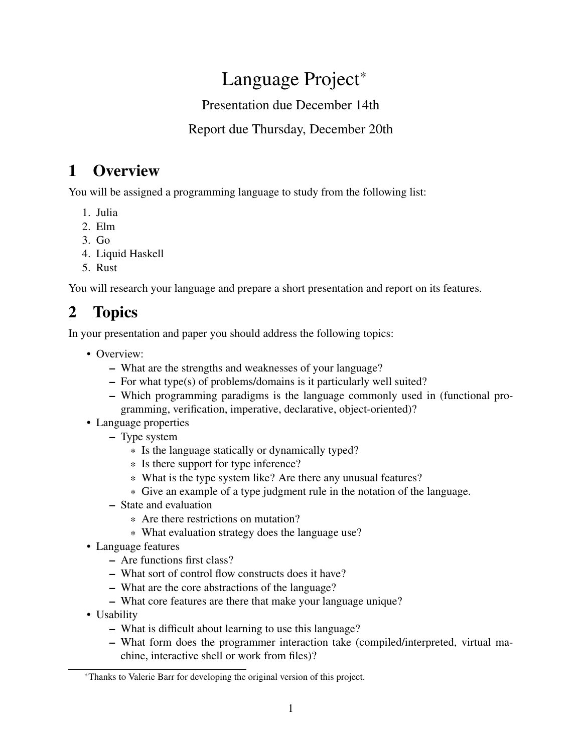# Language Project\*

#### Presentation due December 14th

#### Report due Thursday, December 20th

## 1 Overview

You will be assigned a programming language to study from the following list:

- 1. Julia
- 2. Elm
- 3. Go
- 4. Liquid Haskell
- 5. Rust

You will research your language and prepare a short presentation and report on its features.

# 2 Topics

In your presentation and paper you should address the following topics:

- Overview:
	- What are the strengths and weaknesses of your language?
	- For what type(s) of problems/domains is it particularly well suited?
	- Which programming paradigms is the language commonly used in (functional programming, verification, imperative, declarative, object-oriented)?
- Language properties
	- Type system
		- \* Is the language statically or dynamically typed?
		- \* Is there support for type inference?
		- \* What is the type system like? Are there any unusual features?
		- \* Give an example of a type judgment rule in the notation of the language.
	- State and evaluation
		- \* Are there restrictions on mutation?
		- \* What evaluation strategy does the language use?
- Language features
	- Are functions first class?
	- What sort of control flow constructs does it have?
	- What are the core abstractions of the language?
	- What core features are there that make your language unique?
- Usability
	- What is difficult about learning to use this language?
	- What form does the programmer interaction take (compiled/interpreted, virtual machine, interactive shell or work from files)?

<sup>\*</sup>Thanks to Valerie Barr for developing the original version of this project.